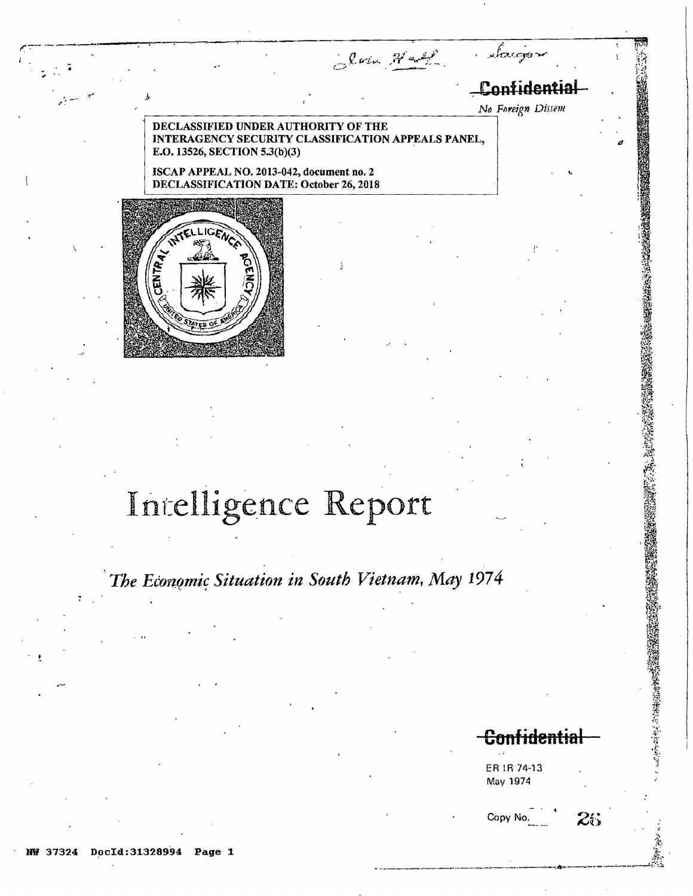Slow Hadd

# antidential

No Foreign Dissem

'accio

### DECLASSIFIED UNDER AUTHORITY OF THE INTERAGENCY SECURITY CLASSIFICATION APPEALS PANEL, E.O. 13526, SECTION 5.3(b)(3)

ISCAP APPEAL NO. 2013-042, document no. 2 **DECLASSIFICATION DATE: October 26, 2018** 



# Intelligence Report

The Economic Situation in South Vietnam, May 1974

**Confidential** 

 $25$ 

1. 中小海绵病毒

ER IR 74-13 May 1974

Copy No

DocId: 31328994 Page 1 37324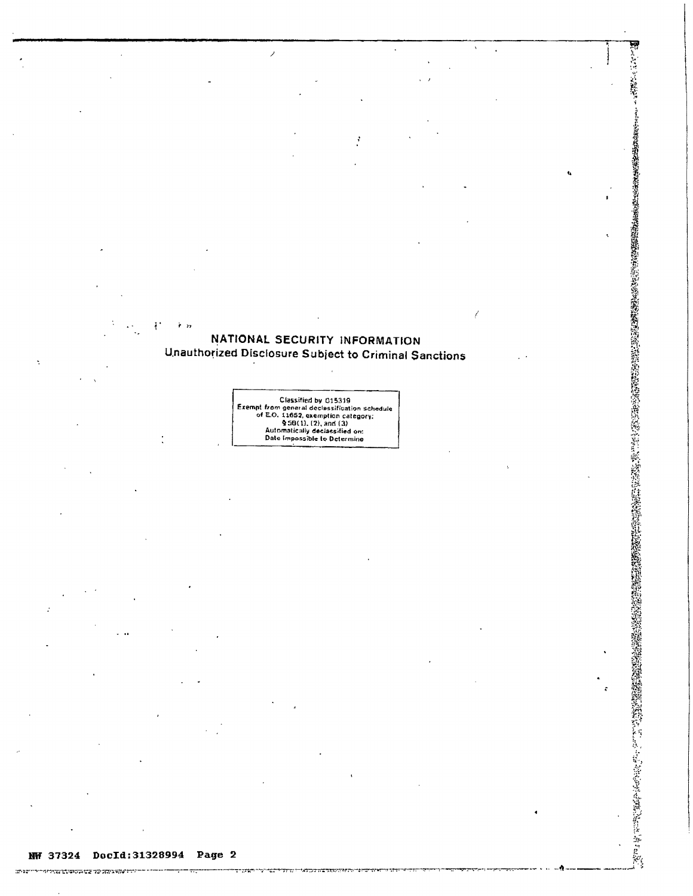## NATIONAL SECURITY INFORMATION **Unauthorized Disclosure Subject to Criminal Sanctions**

 $\overline{\phantom{a}}$ 

Classified by 015319<br>Exempt from general declessification schedule<br>of E.O. 11652, exemption category;<br> $\frac{9}{2}$ 50(1), (2), and (3)<br>Automatically declessified on:<br>Date impossible to Determine

 $\ddot{\phantom{a}}$ 

 $\ddot{\phantom{a}}$ 

- 122

।<br>ਇਨ੍ਹਾਂ ਇੰਦਰ ਵਿੱਚ ਕਰਨ ਦੇ ਕਿਹਾ ਕਿ ਸਾਡੇ ਬਾਹੁੰਦੀ ਹੈ।<br>ਇਨ੍ਹਾਂ ਦੇ ਕਿਹਾ ਕਿ ਇਹ ਕਰਨ ਦੀ ਸਾਡੇ ਬਾਹੁੰਦੀ ਹੈ।

 $m \rightarrow m$ 

ì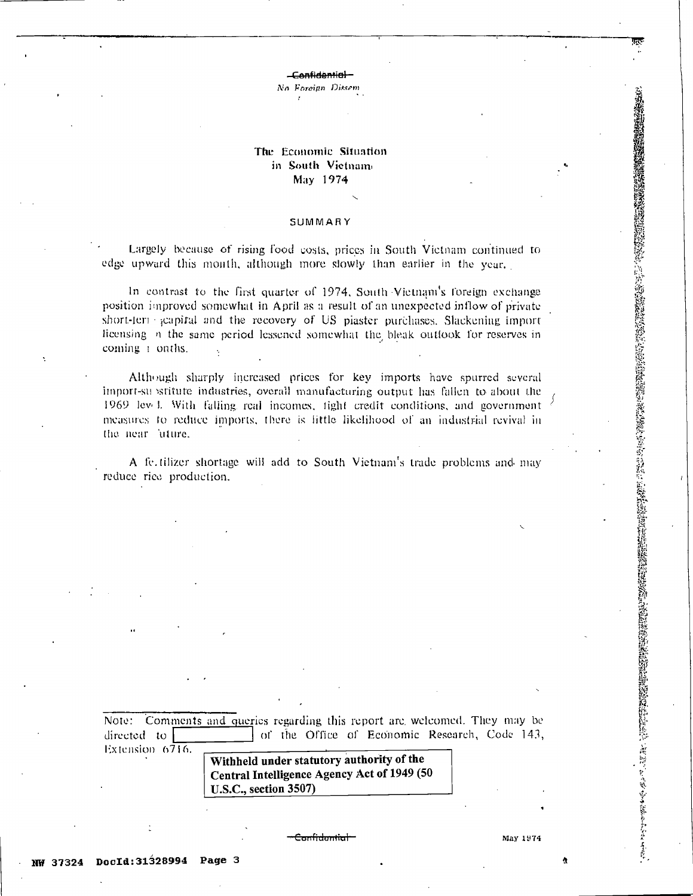Confidential

No Foreign Dissem

## The Economic Situation in South Vietnam May 1974

#### SUMMARY

Largely because of rising food costs, prices in South Victnam continued to edge upward this month, although more slowly than earlier in the year.

In contrast to the first quarter of 1974, South Vietnam's foreign exchange position improved somewhat in April as a result of an unexpected inflow of private short-term grapital and the recovery of US plaster purchases. Slackening import licensing in the same period lessened somewhat the bleak outlook for reserves in coming a onths.

Although sharply increased prices for key imports have spurred several import-su stitute industries, overall manufacturing output has fallen to about the 1969 level. With falling real incomes, fight credit conditions, and government measures to reduce imports, there is fittle likelihood of an industrial revival in the near luture.

A fe tilizer shortage will add to South Vietnam's trade problems and may reduce rice production.

Note: Comments and queries regarding this report are welcomed. They may be  $directed$  to of the Office of Economic Research, Code 143, Extension 6716. Withheld under statutory authority of the

Central Intelligence Agency Act of 1949 (50 **U.S.C., section 3507)** 

Confidential

May 1974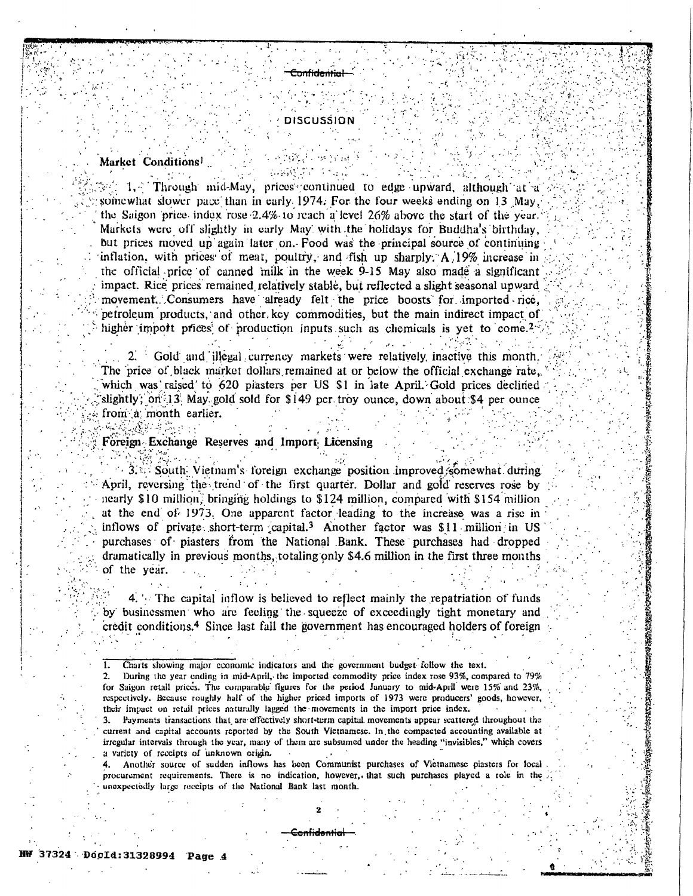#### **DISCUSSION**

<del>Confidential</del>

#### Market Conditions<sup>1</sup>

환자 사용관계 (Market

 $\mathbb{Z}$ : 1. Through mid-May, prices continued to edge upward, although at a somewhat slower pace than in early 1974. For the four weeks ending on 13 May, the Saigon price index rose 2.4% to reach a level 26% above the start of the vear. Markets were off slightly in early May with the holidays for Buddha's birthday, but prices moved up again later on. Food was the principal source of continuing inflation, with prices of meat, poultry, and fish up sharply. A 19% increase in the official price of canned milk in the week 9-15 May also made a significant impact. Rice prices remained relatively stable, but reflected a slight seasonal upward movement. Consumers have already felt the price boosts for imported rice, petroleum products, and other key commodities, but the main indirect impact of higher import prices of production inputs such as chemicals is yet to come.<sup>2-1</sup>

2. Gold and illegal currency markets were relatively inactive this month, The price of black market dollars remained at or below the official exchange rate, which was raised to 620 plasters per US \$1 in late April. Gold prices declined slightly; on 13 May gold sold for \$149 per troy ounce, down about \$4 per ounce from a month earlier.

 $\mu_{\rm{max}} = \mu_{\rm{max}}$ 

#### Foreign Exchange Reserves and Import Licensing

 $\sim$  3.3. South Vietnam's foreign exchange position improved somewhat during April, reversing the trend of the first quarter. Dollar and gold reserves rose by nearly \$10 million, bringing holdings to \$124 million, compared with \$154 million at the end of 1973. One apparent factor leading to the increase was a rise in inflows of private short-term capital.<sup>3</sup> Another factor was \$11 million in US purchases of piasters from the National Bank. These purchases had dropped dramatically in previous months, totaling only \$4.6 million in the first three months of the year.

4. The capital inflow is believed to reflect mainly the repatriation of funds by businessmen who are feeling the squeeze of exceedingly tight monetary and credit conditions.<sup>4</sup> Since last fall the government has encouraged holders of foreign

Charts showing major economic indicators and the government budget follow the text.  $\overline{1}$ .

During the year ending in mid-April, the imported commodity price index rose 93%, compared to 79%  $\mathbf{2}$ Suigon retail prices. The comparable figures for the period January to mid-April were 15% and 23%, respectively. Because roughly half of the higher priced imports of 1973 were producers' goods, however, their impact on retail prices naturally lagged the movements in the import price index.

 $3.$ Payments transactions that are effectively short-term capital movements appear scattered throughout the current and capital accounts reported by the South Vietnamese. In the compacted accounting available at irregular intervals through the year, many of them are subsumed under the heading "invisibles," which covers a variety of receipts of unknown origin.

4. Another source of sudden inflows has been Communist purchases of Vietnamese piasters for local procurement requirements. There is no indication, however, that such purchases played a role in the unexpectedly large receipts of the National Bank last month.

onfidentia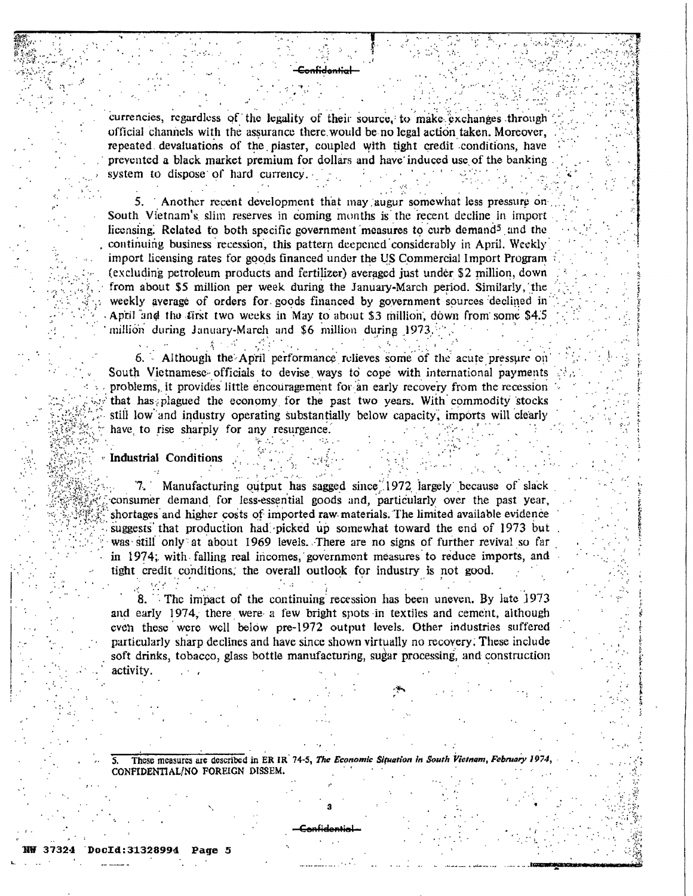currencies, regardless of the legality of their source, to make exchanges through official channels with the assurance there would be no legal action taken. Moreover, repeated devaluations of the piaster, coupled with tight credit conditions, have prevented a black market premium for dollars and have induced use of the banking system to dispose of hard currency.

Another recent development that may augur somewhat less pressure on 5. South Vietnam's slim reserves in coming months is the recent decline in import licensing. Related to both specific government measures to curb demand<sup>5</sup> and the continuing business recession, this pattern deepened considerably in April. Weekly import licensing rates for goods financed under the US Commercial Import Program (excluding petroleum products and fertilizer) averaged just under \$2 million, down from about \$5 million per week during the January-March period. Similarly, the weekly average of orders for goods financed by government sources declined in April and the first two weeks in May to about \$3 million, down from some \$4.5 million during January-March and \$6 million during 1973.

6. Although the April performance relieves some of the acute pressure on South Vietnamese officials to devise ways to cope with international payments problems, it provides little encouragement for an early recovery from the recession that has plagued the economy for the past two years. With commodity stocks still low and industry operating substantially below capacity, imports will clearly have to rise sharply for any resurgence.

Industrial Conditions

ingen.

Manufacturing output has sagged since 1972 largely because of slack 7. consumer demand for less-essential goods and, particularly over the past year, shortages and higher costs of imported raw materials. The limited available evidence suggests that production had picked up somewhat toward the end of 1973 but was still only at about 1969 levels. There are no signs of further revival so far in 1974; with falling real incomes, government measures to reduce imports, and tight credit conditions, the overall outlook for industry is not good.

The impact of the continuing recession has been uneven. By late 1973 8. and early 1974, there were a few bright spots in textiles and cement, although even these were well below pre-1972 output levels. Other industries suffered particularly sharp declines and have since shown virtually no recovery. These include soft drinks, tobacco, glass bottle manufacturing, sugar processing, and construction activity.

These measures are described in ER IR 74-5, The Economic Situation in South Vietnam, February 1974 CONFIDENTIAL/NO FOREIGN DISSEM.

#### cId:31328994 Page 5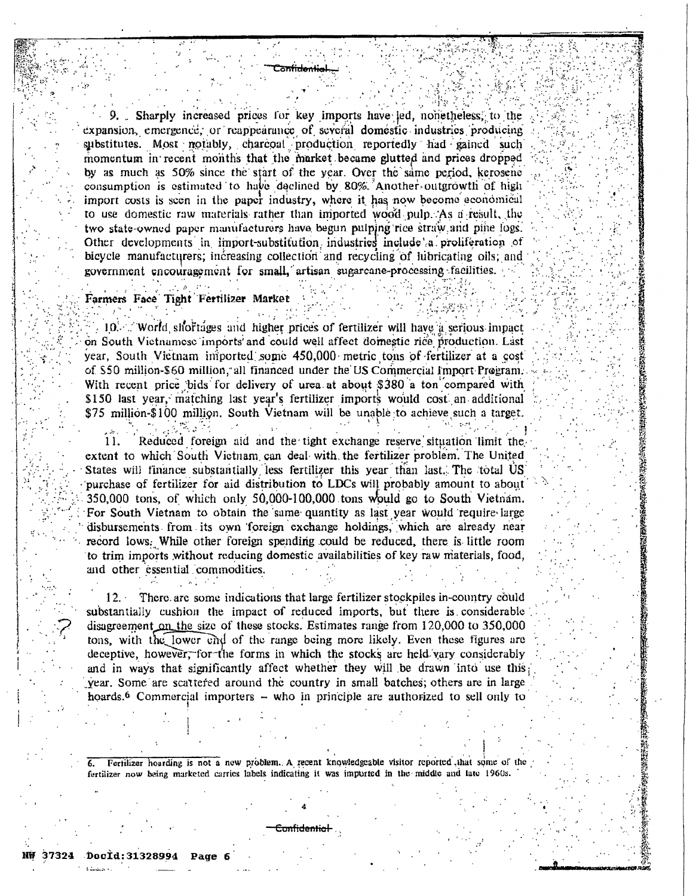. Sharply increased prices for key imports have led, nonetheless, to the expansion, emergence, or reappearance of several domestic industries producing substitutes. Most notably, charcoal production reportedly had gained such momentum in recent months that the market became glutted and prices dropped by as much as 50% since the start of the year. Over the same period, kerosene consumption is estimated to have declined by 80% Another outgrowth of high import costs is seen in the paper industry, where it has now become economical to use domestic raw materials rather than imported wood pulp. As a result, the two state-owned paper manufacturers have begun pulping rice straw and pine logs. Other developments in import-substitution industries include a proliferation of bicycle manufacturers; increasing collection and recycling of lubricating oils; and government encouragement for small, artisan sugarcane-processing facilities.

#### Farmers Face Tight Fertilizer Market

10. World shortages and higher prices of fertilizer will have a serious impact on South Vietnamese imports and could well affect domestic rice production. Last year, South Vietnam imported some 450,000 metric tons of fertilizer at a cost of \$50 million-\$60 million, all financed under the US Commercial Import Program. With recent price bids for delivery of urea at about \$380 a ton compared with \$150 last year, matching last year's fertilizer imports would cost an additional \$75 million-\$100 million. South Vietnam will be unable to achieve such a target.

11. Reduced foreign aid and the tight exchange reserve situation limit the extent to which South Victnam can deal with the fertilizer problem. The United States will finance substantially less fertilizer this year than last. The total US purchase of fertilizer for aid distribution to LDCs will probably amount to about 350,000 tons, of which only 50,000-100,000 tons would go to South Vietnam. For South Vietnam to obtain the same quantity as last year would require large disbursements from its own foreign exchange holdings, which are already near record lows. While other foreign spending could be reduced, there is little room to trim imports without reducing domestic availabilities of key raw materials, food, and other essential commodities.

P. 1992年12月12日 第12月12日 12月12日 12月12日 12月12日 12月12日 12月12日 12月12日 12月12日 12月12日 12月12日 12月12日 12月12日 12月12日 12月

There are some indications that large fertilizer stockpiles in-country could  $12. \cdot$ substantially cushion the impact of reduced imports, but there is considerable disagreement on the size of these stocks. Estimates range from 120,000 to 350,000 tons, with the lower end of the range being more likely. Even these figures are deceptive, however, for the forms in which the stocks are held/vary considerably and in ways that significantly affect whether they will be drawn into use this year. Some are scattered around the country in small batches; others are in large hoards.<sup>6</sup> Commercial importers - who in principle are authorized to sell only to

Fertilizer hoarding is not a new problem. A recent knowledgeable visitor reported that some of the fertilizer now being marketed carries labels indicating it was imported in the middle and late 1960s.

m<del>hidenha</del>l

NŴ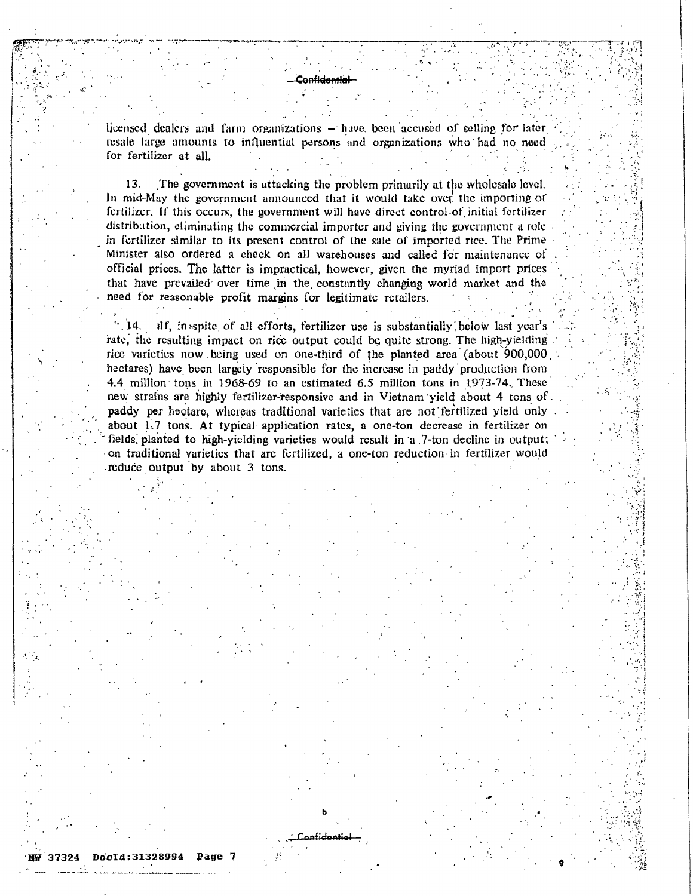licensed dealers and farm organizations – have been accused of selling for later resale large amounts to influential persons and organizations who had no need for fertilizer at all.

a<del>nfidential</del>

13. The government is attacking the problem primarily at the wholesale level. In mid-May the government announced that it would take over the importing of fertilizer. If this occurs, the government will have direct control of initial fertilizer distribution, eliminating the commercial importer and giving the government a role in fortilizer similar to its present control of the sale of imported rice. The Prime Minister also ordered a check on all warehouses and called for maintenance of official prices. The latter is impractical, however, given the myriad import prices that have prevailed over time in the constantly changing world market and the need for reasonable profit margins for legitimate retailers.

 $\blacksquare$  14.  $\mathbf{H}$ , in spite of all efforts, fertilizer use is substantially below last year's rate, the resulting impact on rice output could be quite strong. The high-yielding rice varieties now being used on one-third of the planted area (about 900,000 hectares) have been largely responsible for the increase in paddy production from 4.4 million tons in 1968-69 to an estimated 6.5 million tons in 1973-74. These new strains are highly fertilizer-responsive and in Vietnam yield about 4 tons of paddy per hectare, whereas traditional varieties that are not fertilized yield only about 1.7 tons. At typical application rates, a one-ton decrease in fertilizer on fields planted to high-yielding varieties would result in a 7-ton decline in output; on traditional varietics that are fertilized, a one-ton reduction in fertilizer would reduce output by about 3 tons.

Doc1d:31328994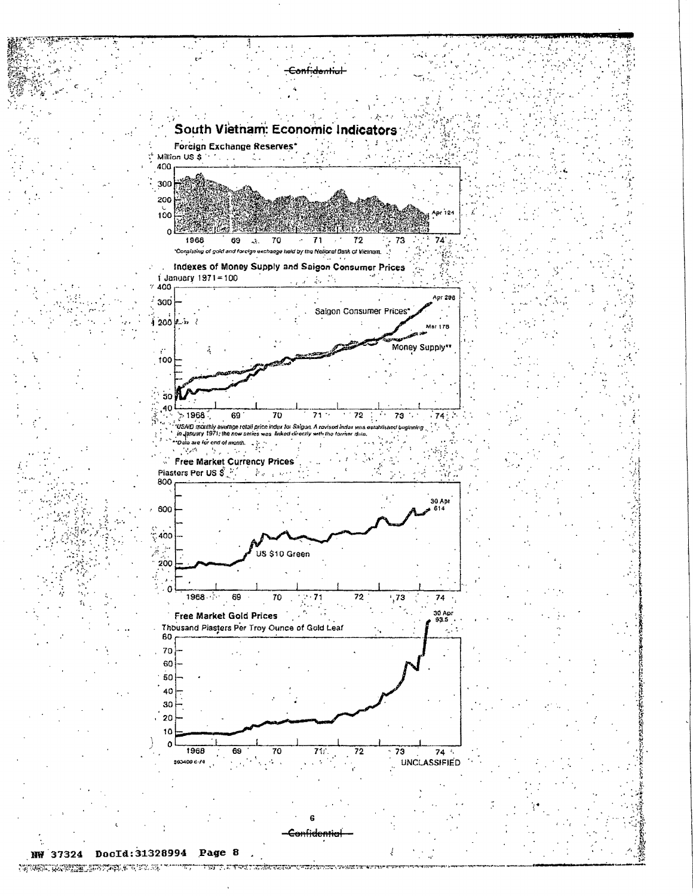

THE CONSTRUCTION OF PARTY OF THE SECOND TEST OF THE REPORT OF THE CONSTRUCTION OF THE PARTY.